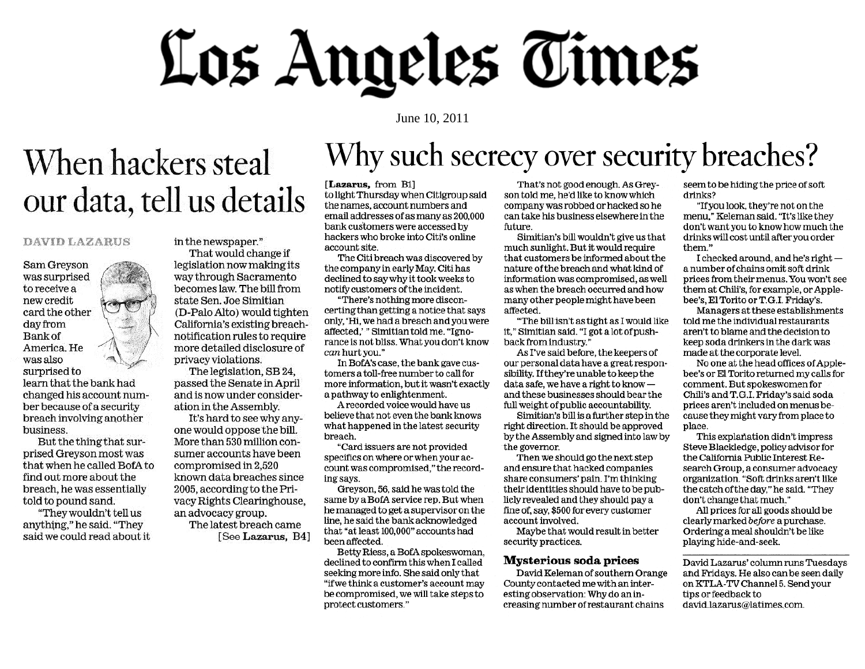# Los Angeles Times

June 10, 2011

## When hackers steal our data, tell us details

#### **DAVID LAZARUS**

Sam Greyson was surprised to receive a new credit card the other day from **Bank** of America. He was also surprised to

learn that the bank had changed his account number because of a security breach involving another business.

But the thing that surprised Greyson most was that when he called BofA to find out more about the breach, he was essentially told to pound sand.

"They wouldn't tell us anything," he said. "They said we could read about it in the newspaper."

That would change if legislation now making its way through Sacramento becomes law. The bill from state Sen. Joe Simitian (D-Palo Alto) would tighten California's existing breachnotification rules to require more detailed disclosure of privacy violations.

The legislation, SB 24, passed the Senate in April and is now under consideration in the Assembly.

It's hard to see why anyone would oppose the bill. More than 530 million consumer accounts have been compromised in 2,520 known data breaches since 2005, according to the Privacy Rights Clearinghouse, an advocacy group.

> The latest breach came [See Lazarus, B4]

## Why such secrecy over security breaches?

#### [Lazarus, from B1]

to light Thursday when Citigroup said the names, account numbers and email addresses of as many as 200,000 bank customers were accessed by hackers who broke into Citi's online account site.

The Citi breach was discovered by the company in early May. Citi has declined to say why it took weeks to notify customers of the incident.

"There's nothing more disconcerting than getting a notice that says only, 'Hi, we had a breach and you were affected,'" Simitian told me. "Ignorance is not bliss. What you don't know can hurt you."

In BofA's case, the bank gave customers a toll-free number to call for more information, but it wasn't exactly a pathway to enlightenment.

A recorded voice would have us believe that not even the bank knows what happened in the latest security breach.

"Card issuers are not provided specifics on where or when your account was compromised." the recording says.

Greyson, 56, said he was told the same by a BofA service rep. But when he managed to get a supervisor on the line, he said the bank acknowledged that "at least 100,000" accounts had been affected.

Betty Riess, a BofA spokeswoman, declined to confirm this when I called seeking more info. She said only that "if we think a customer's account may be compromised, we will take steps to protect customers."

That's not good enough. As Greyson told me, he'd like to know which company was robbed or hacked so he can take his business elsewhere in the future.

Simitian's bill wouldn't give us that much sunlight. But it would require that customers be informed about the nature of the breach and what kind of information was compromised, as well as when the breach occurred and how many other people might have been affected.

"The bill isn't as tight as I would like it," Simitian said. "I got a lot of pushback from industry."

As I've said before, the keepers of our personal data have a great responsibility. If they're unable to keep the data safe, we have a right to knowand these businesses should bear the full weight of public accountability.

Simitian's bill is a further step in the right direction. It should be approved by the Assembly and signed into law by the governor.

Then we should go the next step and ensure that hacked companies share consumers' pain. I'm thinking their identities should have to be publicly revealed and they should pay a fine of, say, \$500 for every customer account involved.

Maybe that would result in better security practices.

#### **Mysterious soda prices**

David Keleman of southern Orange County contacted me with an interesting observation: Why do an increasing number of restaurant chains

seem to be hiding the price of soft drinks?

"If you look, they're not on the menu," Keleman said. "It's like they don't want you to know how much the drinks will cost until after you order them."

I checked around, and he's right a number of chains omit soft drink prices from their menus. You won't see them at Chili's, for example, or Applebee's, El Torito or T.G.I. Friday's.

Managers at these establishments told me the individual restaurants aren't to blame and the decision to keep soda drinkers in the dark was made at the corporate level.

No one at the head offices of Applebee's or El Torito returned my calls for comment. But spokeswomen for Chili's and T.G.I. Friday's said soda prices aren't included on menus because they might vary from place to place.

This explanation didn't impress Steve Blackledge, policy advisor for the California Public Interest Research Group, a consumer advocacy organization. "Soft drinks aren't like the catch of the day," he said. "They don't change that much."

All prices for all goods should be clearly marked before a purchase. Ordering a meal shouldn't be like playing hide-and-seek.

David Lazarus' column runs Tuesdays and Fridays. He also can be seen daily on KTLA-TV Channel 5. Send your tips or feedback to david.lazarus@latimes.com.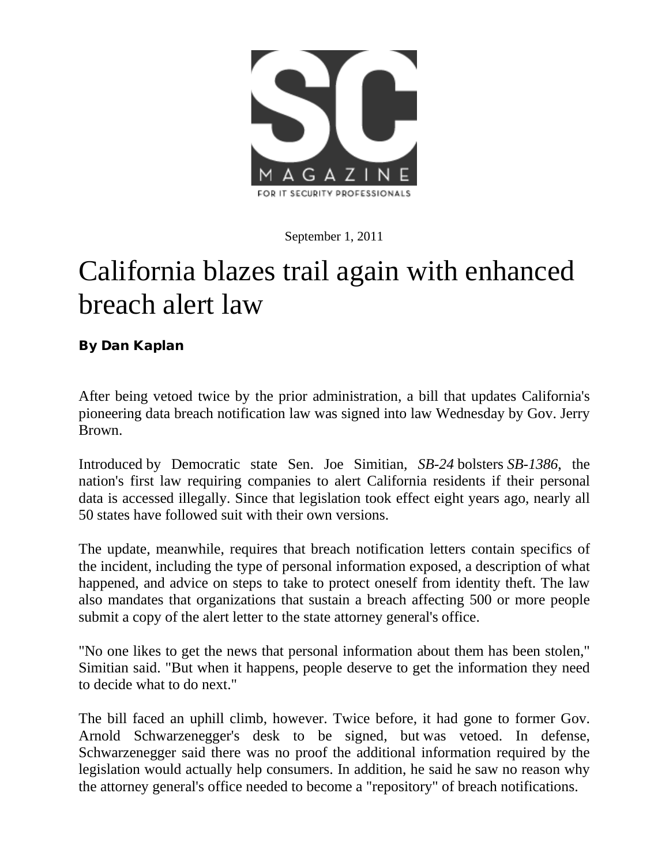

September 1, 2011

### California blazes trail again with enhanced breach alert law

By Dan Kaplan

After being vetoed twice by the prior administration, a bill that updates California's pioneering data breach notification law was signed into law Wednesday by Gov. Jerry Brown.

[Introduced](http://www.scmagazineus.com/california-lawmaker-tries-again-with-data-breach-bill/article/194988/) by Democratic state Sen. Joe Simitian*, SB-24* bolsters *SB-1386*, the nation's first law requiring companies to alert California residents if their personal data is accessed illegally. Since that legislation took effect eight years ago, nearly all 50 states have followed suit with their own versions.

The update, meanwhile, requires that breach notification letters contain specifics of the incident, including the type of personal information exposed, a description of what happened, and advice on steps to take to protect oneself from identity theft. The law also mandates that organizations that sustain a breach affecting 500 or more people submit a copy of the alert letter to the state attorney general's office.

"No one likes to get the news that personal information about them has been stolen," Simitian said. "But when it happens, people deserve to get the information they need to decide what to do next."

The bill faced an uphill climb, however. Twice before, it had gone to former Gov. Arnold Schwarzenegger's desk to be signed, but [was vetoed.](http://www.scmagazineus.com/schwarzenegger-negs-update-to-california-breach-law/article/152379/) In defense, Schwarzenegger said there was no proof the additional information required by the legislation would actually help consumers. In addition, he said he saw no reason why the attorney general's office needed to become a "repository" of breach notifications.